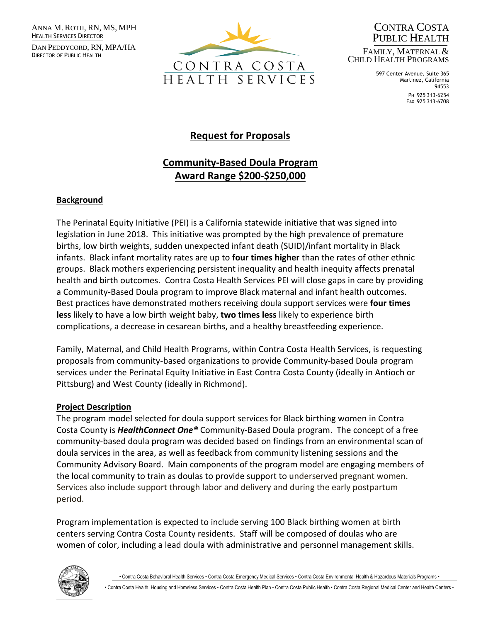ANNA M. ROTH, RN, MS, MPH HEALTH SERVICES DIRECTOR

DAN PEDDYCORD, RN, MPA/HA DIRECTOR OF PUBLIC HEALTH



CONTRA COSTA PUBLIC HEALTH FAMILY, MATERNAL & CHILD HEALTH PROGRAMS

> 597 Center Avenue, Suite 365 Martinez, California 94553

PH 925 313-6254 FAX 925 313-6708

# **Request for Proposals**

# **Community-Based Doula Program Award Range \$200-\$250,000**

#### **Background**

The Perinatal Equity Initiative (PEI) is a California statewide initiative that was signed into legislation in June 2018. This initiative was prompted by the high prevalence of premature births, low birth weights, sudden unexpected infant death (SUID)/infant mortality in Black infants. Black infant mortality rates are up to **four times higher** than the rates of other ethnic groups. Black mothers experiencing persistent inequality and health inequity affects prenatal health and birth outcomes. Contra Costa Health Services PEI will close gaps in care by providing a Community-Based Doula program to improve Black maternal and infant health outcomes. Best practices have demonstrated mothers receiving doula support services were **four times less** likely to have a low birth weight baby, **two times less** likely to experience birth complications, a decrease in cesarean births, and a healthy breastfeeding experience.

Family, Maternal, and Child Health Programs, within Contra Costa Health Services, is requesting proposals from community-based organizations to provide Community-based Doula program services under the Perinatal Equity Initiative in East Contra Costa County (ideally in Antioch or Pittsburg) and West County (ideally in Richmond).

#### **Project Description**

The program model selected for doula support services for Black birthing women in Contra Costa County is *HealthConnect One®* Community-Based Doula program. The concept of a free community-based doula program was decided based on findings from an environmental scan of doula services in the area, as well as feedback from community listening sessions and the Community Advisory Board. Main components of the program model are engaging members of the local community to train as doulas to provide support to underserved pregnant women. Services also include support through labor and delivery and during the early postpartum period.

Program implementation is expected to include serving 100 Black birthing women at birth centers serving Contra Costa County residents. Staff will be composed of doulas who are women of color, including a lead doula with administrative and personnel management skills.



• Contra Costa Behavioral Health Services • Contra Costa Emergency Medical Services • Contra Costa Environmental Health & Hazardous Materials Programs •

• Contra Costa Health, Housing and Homeless Services • Contra Costa Health Plan • Contra Costa Public Health • Contra Costa Regional Medical Center and Health Centers •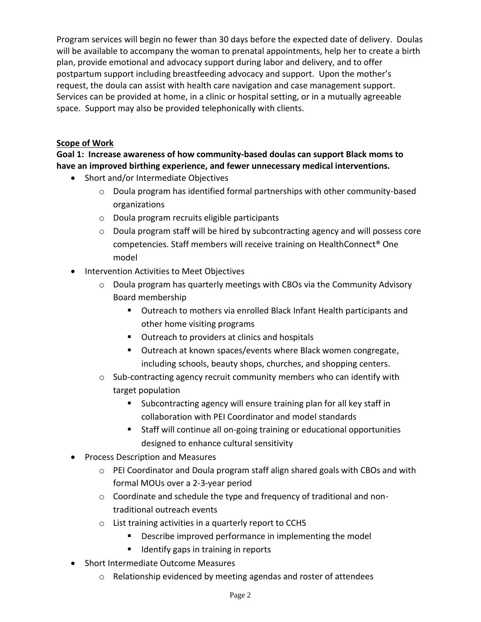Program services will begin no fewer than 30 days before the expected date of delivery. Doulas will be available to accompany the woman to prenatal appointments, help her to create a birth plan, provide emotional and advocacy support during labor and delivery, and to offer postpartum support including breastfeeding advocacy and support. Upon the mother's request, the doula can assist with health care navigation and case management support. Services can be provided at home, in a clinic or hospital setting, or in a mutually agreeable space. Support may also be provided telephonically with clients.

## **Scope of Work**

**Goal 1: Increase awareness of how community-based doulas can support Black moms to have an improved birthing experience, and fewer unnecessary medical interventions.**

- Short and/or Intermediate Objectives
	- $\circ$  Doula program has identified formal partnerships with other community-based organizations
	- o Doula program recruits eligible participants
	- o Doula program staff will be hired by subcontracting agency and will possess core competencies. Staff members will receive training on HealthConnect® One model
- Intervention Activities to Meet Objectives
	- o Doula program has quarterly meetings with CBOs via the Community Advisory Board membership
		- Outreach to mothers via enrolled Black Infant Health participants and other home visiting programs
		- Outreach to providers at clinics and hospitals
		- Outreach at known spaces/events where Black women congregate, including schools, beauty shops, churches, and shopping centers.
	- $\circ$  Sub-contracting agency recruit community members who can identify with target population
		- Subcontracting agency will ensure training plan for all key staff in collaboration with PEI Coordinator and model standards
		- Staff will continue all on-going training or educational opportunities designed to enhance cultural sensitivity
- Process Description and Measures
	- $\circ$  PEI Coordinator and Doula program staff align shared goals with CBOs and with formal MOUs over a 2-3-year period
	- o Coordinate and schedule the type and frequency of traditional and nontraditional outreach events
	- o List training activities in a quarterly report to CCHS
		- Describe improved performance in implementing the model
		- Identify gaps in training in reports
- Short Intermediate Outcome Measures
	- o Relationship evidenced by meeting agendas and roster of attendees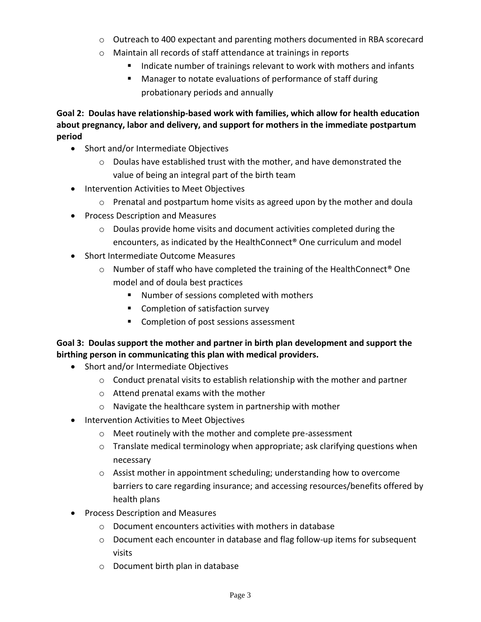- o Outreach to 400 expectant and parenting mothers documented in RBA scorecard
- o Maintain all records of staff attendance at trainings in reports
	- Indicate number of trainings relevant to work with mothers and infants
	- Manager to notate evaluations of performance of staff during probationary periods and annually

**Goal 2: Doulas have relationship-based work with families, which allow for health education about pregnancy, labor and delivery, and support for mothers in the immediate postpartum period**

- Short and/or Intermediate Objectives
	- $\circ$  Doulas have established trust with the mother, and have demonstrated the value of being an integral part of the birth team
- Intervention Activities to Meet Objectives
	- $\circ$  Prenatal and postpartum home visits as agreed upon by the mother and doula
- Process Description and Measures
	- o Doulas provide home visits and document activities completed during the encounters, as indicated by the HealthConnect® One curriculum and model
- Short Intermediate Outcome Measures
	- $\circ$  Number of staff who have completed the training of the HealthConnect<sup>®</sup> One model and of doula best practices
		- Number of sessions completed with mothers
		- Completion of satisfaction survey
		- Completion of post sessions assessment

#### **Goal 3: Doulas support the mother and partner in birth plan development and support the birthing person in communicating this plan with medical providers.**

- Short and/or Intermediate Objectives
	- o Conduct prenatal visits to establish relationship with the mother and partner
	- o Attend prenatal exams with the mother
	- o Navigate the healthcare system in partnership with mother
- Intervention Activities to Meet Objectives
	- o Meet routinely with the mother and complete pre-assessment
	- $\circ$  Translate medical terminology when appropriate; ask clarifying questions when necessary
	- $\circ$  Assist mother in appointment scheduling; understanding how to overcome barriers to care regarding insurance; and accessing resources/benefits offered by health plans
- Process Description and Measures
	- o Document encounters activities with mothers in database
	- o Document each encounter in database and flag follow-up items for subsequent visits
	- o Document birth plan in database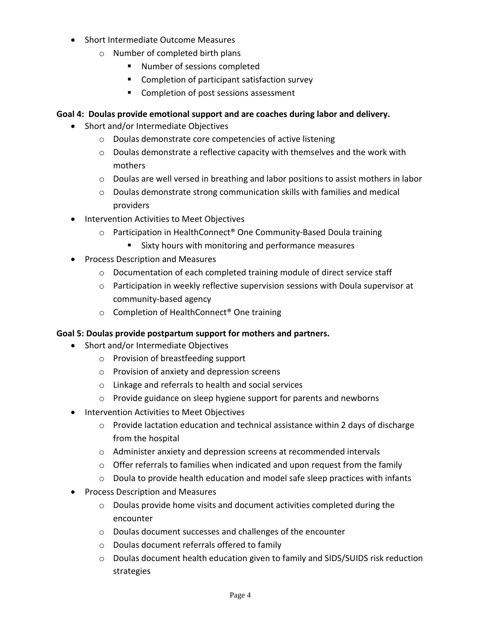- Short Intermediate Outcome Measures
	- o Number of completed birth plans
		- Number of sessions completed
		- Completion of participant satisfaction survey
		- Completion of post sessions assessment

## **Goal 4: Doulas provide emotional support and are coaches during labor and delivery.**

- Short and/or Intermediate Objectives
	- o Doulas demonstrate core competencies of active listening
	- $\circ$  Doulas demonstrate a reflective capacity with themselves and the work with mothers
	- $\circ$  Doulas are well versed in breathing and labor positions to assist mothers in labor
	- $\circ$  Doulas demonstrate strong communication skills with families and medical providers
- Intervention Activities to Meet Objectives
	- o Participation in HealthConnect® One Community-Based Doula training
		- Sixty hours with monitoring and performance measures
- Process Description and Measures
	- o Documentation of each completed training module of direct service staff
	- $\circ$  Participation in weekly reflective supervision sessions with Doula supervisor at community-based agency
	- o Completion of HealthConnect® One training

#### **Goal 5: Doulas provide postpartum support for mothers and partners.**

- Short and/or Intermediate Objectives
	- o Provision of breastfeeding support
	- o Provision of anxiety and depression screens
	- o Linkage and referrals to health and social services
	- o Provide guidance on sleep hygiene support for parents and newborns
- Intervention Activities to Meet Objectives
	- $\circ$  Provide lactation education and technical assistance within 2 days of discharge from the hospital
	- o Administer anxiety and depression screens at recommended intervals
	- $\circ$  Offer referrals to families when indicated and upon request from the family
	- $\circ$  Doula to provide health education and model safe sleep practices with infants
- Process Description and Measures
	- o Doulas provide home visits and document activities completed during the encounter
	- o Doulas document successes and challenges of the encounter
	- o Doulas document referrals offered to family
	- $\circ$  Doulas document health education given to family and SIDS/SUIDS risk reduction strategies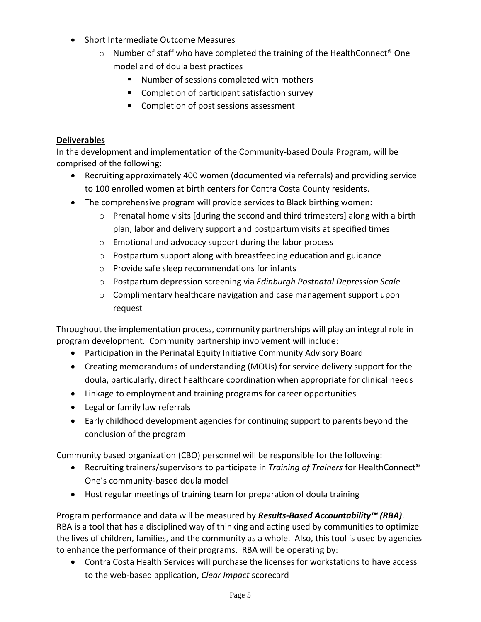- Short Intermediate Outcome Measures
	- $\circ$  Number of staff who have completed the training of the HealthConnect<sup>®</sup> One model and of doula best practices
		- Number of sessions completed with mothers
		- Completion of participant satisfaction survey
		- Completion of post sessions assessment

#### **Deliverables**

In the development and implementation of the Community-based Doula Program, will be comprised of the following:

- Recruiting approximately 400 women (documented via referrals) and providing service to 100 enrolled women at birth centers for Contra Costa County residents.
- The comprehensive program will provide services to Black birthing women:
	- o Prenatal home visits [during the second and third trimesters] along with a birth plan, labor and delivery support and postpartum visits at specified times
	- o Emotional and advocacy support during the labor process
	- o Postpartum support along with breastfeeding education and guidance
	- o Provide safe sleep recommendations for infants
	- o Postpartum depression screening via *Edinburgh Postnatal Depression Scale*
	- o Complimentary healthcare navigation and case management support upon request

Throughout the implementation process, community partnerships will play an integral role in program development. Community partnership involvement will include:

- Participation in the Perinatal Equity Initiative Community Advisory Board
- Creating memorandums of understanding (MOUs) for service delivery support for the doula, particularly, direct healthcare coordination when appropriate for clinical needs
- Linkage to employment and training programs for career opportunities
- Legal or family law referrals
- Early childhood development agencies for continuing support to parents beyond the conclusion of the program

Community based organization (CBO) personnel will be responsible for the following:

- Recruiting trainers/supervisors to participate in *Training of Trainers* for HealthConnect® One's community-based doula model
- Host regular meetings of training team for preparation of doula training

Program performance and data will be measured by *Results-Based Accountability™ (RBA)*. RBA is a tool that has a disciplined way of thinking and acting used by communities to optimize the lives of children, families, and the community as a whole. Also, this tool is used by agencies to enhance the performance of their programs. RBA will be operating by:

• Contra Costa Health Services will purchase the licenses for workstations to have access to the web-based application, *Clear Impact* scorecard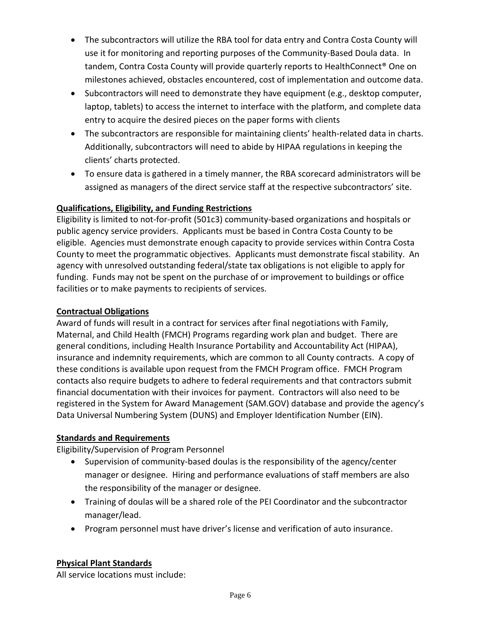- The subcontractors will utilize the RBA tool for data entry and Contra Costa County will use it for monitoring and reporting purposes of the Community-Based Doula data. In tandem, Contra Costa County will provide quarterly reports to HealthConnect® One on milestones achieved, obstacles encountered, cost of implementation and outcome data.
- Subcontractors will need to demonstrate they have equipment (e.g., desktop computer, laptop, tablets) to access the internet to interface with the platform, and complete data entry to acquire the desired pieces on the paper forms with clients
- The subcontractors are responsible for maintaining clients' health-related data in charts. Additionally, subcontractors will need to abide by HIPAA regulations in keeping the clients' charts protected.
- To ensure data is gathered in a timely manner, the RBA scorecard administrators will be assigned as managers of the direct service staff at the respective subcontractors' site.

# **Qualifications, Eligibility, and Funding Restrictions**

Eligibility is limited to not-for-profit (501c3) community-based organizations and hospitals or public agency service providers. Applicants must be based in Contra Costa County to be eligible. Agencies must demonstrate enough capacity to provide services within Contra Costa County to meet the programmatic objectives. Applicants must demonstrate fiscal stability. An agency with unresolved outstanding federal/state tax obligations is not eligible to apply for funding. Funds may not be spent on the purchase of or improvement to buildings or office facilities or to make payments to recipients of services.

# **Contractual Obligations**

Award of funds will result in a contract for services after final negotiations with Family, Maternal, and Child Health (FMCH) Programs regarding work plan and budget. There are general conditions, including Health Insurance Portability and Accountability Act (HIPAA), insurance and indemnity requirements, which are common to all County contracts. A copy of these conditions is available upon request from the FMCH Program office. FMCH Program contacts also require budgets to adhere to federal requirements and that contractors submit financial documentation with their invoices for payment. Contractors will also need to be registered in the System for Award Management (SAM.GOV) database and provide the agency's Data Universal Numbering System (DUNS) and Employer Identification Number (EIN).

# **Standards and Requirements**

Eligibility/Supervision of Program Personnel

- Supervision of community-based doulas is the responsibility of the agency/center manager or designee. Hiring and performance evaluations of staff members are also the responsibility of the manager or designee.
- Training of doulas will be a shared role of the PEI Coordinator and the subcontractor manager/lead.
- Program personnel must have driver's license and verification of auto insurance.

# **Physical Plant Standards**

All service locations must include: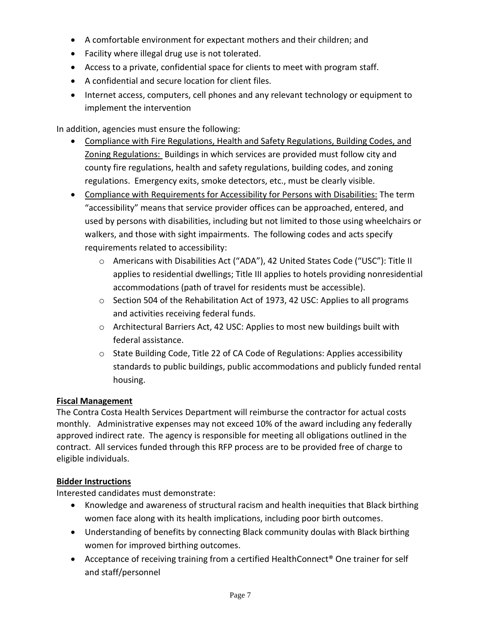- A comfortable environment for expectant mothers and their children; and
- Facility where illegal drug use is not tolerated.
- Access to a private, confidential space for clients to meet with program staff.
- A confidential and secure location for client files.
- Internet access, computers, cell phones and any relevant technology or equipment to implement the intervention

In addition, agencies must ensure the following:

- Compliance with Fire Regulations, Health and Safety Regulations, Building Codes, and Zoning Regulations: Buildings in which services are provided must follow city and county fire regulations, health and safety regulations, building codes, and zoning regulations. Emergency exits, smoke detectors, etc., must be clearly visible.
- Compliance with Requirements for Accessibility for Persons with Disabilities: The term "accessibility" means that service provider offices can be approached, entered, and used by persons with disabilities, including but not limited to those using wheelchairs or walkers, and those with sight impairments. The following codes and acts specify requirements related to accessibility:
	- o Americans with Disabilities Act ("ADA"), 42 United States Code ("USC"): Title II applies to residential dwellings; Title III applies to hotels providing nonresidential accommodations (path of travel for residents must be accessible).
	- $\circ$  Section 504 of the Rehabilitation Act of 1973, 42 USC: Applies to all programs and activities receiving federal funds.
	- o Architectural Barriers Act, 42 USC: Applies to most new buildings built with federal assistance.
	- $\circ$  State Building Code, Title 22 of CA Code of Regulations: Applies accessibility standards to public buildings, public accommodations and publicly funded rental housing.

#### **Fiscal Management**

The Contra Costa Health Services Department will reimburse the contractor for actual costs monthly. Administrative expenses may not exceed 10% of the award including any federally approved indirect rate. The agency is responsible for meeting all obligations outlined in the contract. All services funded through this RFP process are to be provided free of charge to eligible individuals.

#### **Bidder Instructions**

Interested candidates must demonstrate:

- Knowledge and awareness of structural racism and health inequities that Black birthing women face along with its health implications, including poor birth outcomes.
- Understanding of benefits by connecting Black community doulas with Black birthing women for improved birthing outcomes.
- Acceptance of receiving training from a certified HealthConnect<sup>®</sup> One trainer for self and staff/personnel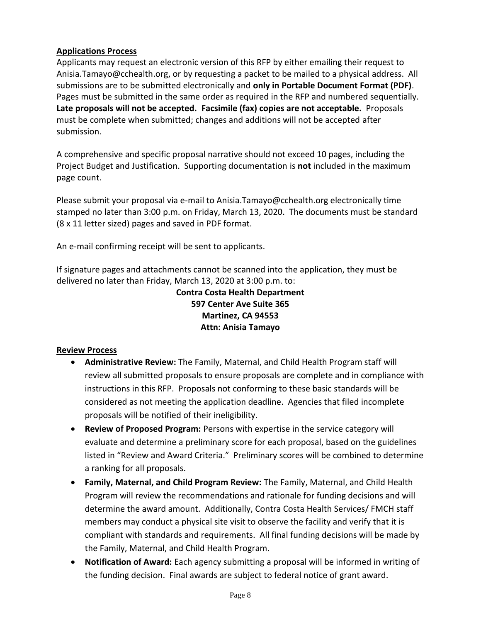#### **Applications Process**

Applicants may request an electronic version of this RFP by either emailing their request to Anisia.Tamayo@cchealth.org, or by requesting a packet to be mailed to a physical address. All submissions are to be submitted electronically and **only in Portable Document Format (PDF)**. Pages must be submitted in the same order as required in the RFP and numbered sequentially. **Late proposals will not be accepted. Facsimile (fax) copies are not acceptable.** Proposals must be complete when submitted; changes and additions will not be accepted after submission.

A comprehensive and specific proposal narrative should not exceed 10 pages, including the Project Budget and Justification. Supporting documentation is **not** included in the maximum page count.

Please submit your proposal via e-mail to Anisia.Tamayo@cchealth.org electronically time stamped no later than 3:00 p.m. on Friday, March 13, 2020. The documents must be standard (8 x 11 letter sized) pages and saved in PDF format.

An e-mail confirming receipt will be sent to applicants.

If signature pages and attachments cannot be scanned into the application, they must be delivered no later than Friday, March 13, 2020 at 3:00 p.m. to:

> **Contra Costa Health Department 597 Center Ave Suite 365 Martinez, CA 94553 Attn: Anisia Tamayo**

#### **Review Process**

- **Administrative Review:** The Family, Maternal, and Child Health Program staff will review all submitted proposals to ensure proposals are complete and in compliance with instructions in this RFP. Proposals not conforming to these basic standards will be considered as not meeting the application deadline. Agencies that filed incomplete proposals will be notified of their ineligibility.
- **Review of Proposed Program:** Persons with expertise in the service category will evaluate and determine a preliminary score for each proposal, based on the guidelines listed in "Review and Award Criteria." Preliminary scores will be combined to determine a ranking for all proposals.
- **Family, Maternal, and Child Program Review:** The Family, Maternal, and Child Health Program will review the recommendations and rationale for funding decisions and will determine the award amount. Additionally, Contra Costa Health Services/ FMCH staff members may conduct a physical site visit to observe the facility and verify that it is compliant with standards and requirements. All final funding decisions will be made by the Family, Maternal, and Child Health Program.
- **Notification of Award:** Each agency submitting a proposal will be informed in writing of the funding decision. Final awards are subject to federal notice of grant award.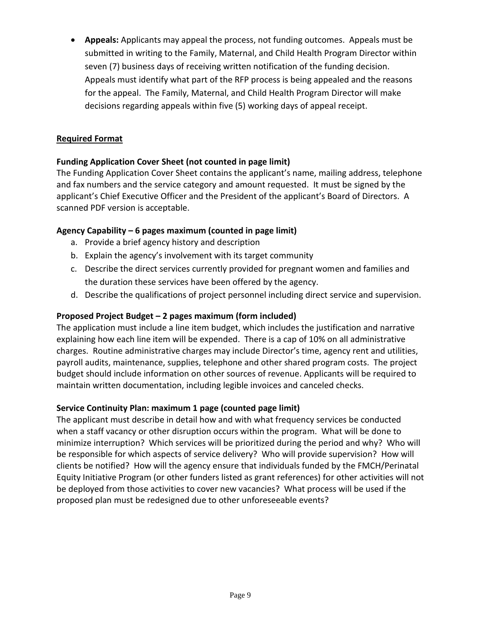• **Appeals:** Applicants may appeal the process, not funding outcomes. Appeals must be submitted in writing to the Family, Maternal, and Child Health Program Director within seven (7) business days of receiving written notification of the funding decision. Appeals must identify what part of the RFP process is being appealed and the reasons for the appeal. The Family, Maternal, and Child Health Program Director will make decisions regarding appeals within five (5) working days of appeal receipt.

## **Required Format**

## **Funding Application Cover Sheet (not counted in page limit)**

The Funding Application Cover Sheet contains the applicant's name, mailing address, telephone and fax numbers and the service category and amount requested. It must be signed by the applicant's Chief Executive Officer and the President of the applicant's Board of Directors. A scanned PDF version is acceptable.

#### **Agency Capability – 6 pages maximum (counted in page limit)**

- a. Provide a brief agency history and description
- b. Explain the agency's involvement with its target community
- c. Describe the direct services currently provided for pregnant women and families and the duration these services have been offered by the agency.
- d. Describe the qualifications of project personnel including direct service and supervision.

## **Proposed Project Budget – 2 pages maximum (form included)**

The application must include a line item budget, which includes the justification and narrative explaining how each line item will be expended. There is a cap of 10% on all administrative charges. Routine administrative charges may include Director's time, agency rent and utilities, payroll audits, maintenance, supplies, telephone and other shared program costs. The project budget should include information on other sources of revenue. Applicants will be required to maintain written documentation, including legible invoices and canceled checks.

#### **Service Continuity Plan: maximum 1 page (counted page limit)**

The applicant must describe in detail how and with what frequency services be conducted when a staff vacancy or other disruption occurs within the program. What will be done to minimize interruption? Which services will be prioritized during the period and why? Who will be responsible for which aspects of service delivery? Who will provide supervision? How will clients be notified? How will the agency ensure that individuals funded by the FMCH/Perinatal Equity Initiative Program (or other funders listed as grant references) for other activities will not be deployed from those activities to cover new vacancies? What process will be used if the proposed plan must be redesigned due to other unforeseeable events?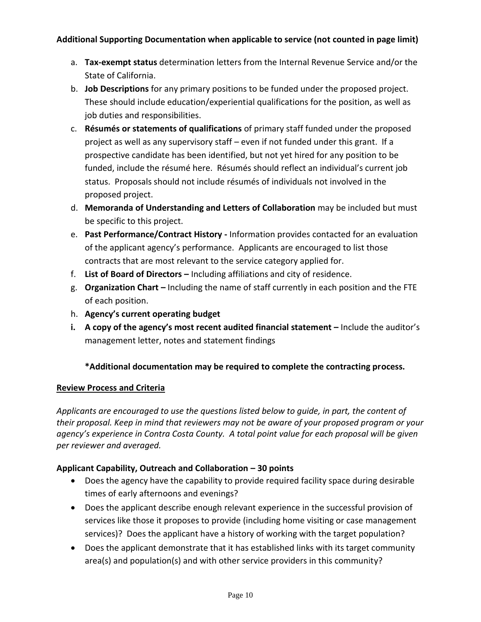#### **Additional Supporting Documentation when applicable to service (not counted in page limit)**

- a. **Tax-exempt status** determination letters from the Internal Revenue Service and/or the State of California.
- b. **Job Descriptions** for any primary positions to be funded under the proposed project. These should include education/experiential qualifications for the position, as well as job duties and responsibilities.
- c. **Résumés or statements of qualifications** of primary staff funded under the proposed project as well as any supervisory staff – even if not funded under this grant. If a prospective candidate has been identified, but not yet hired for any position to be funded, include the résumé here. Résumés should reflect an individual's current job status. Proposals should not include résumés of individuals not involved in the proposed project.
- d. **Memoranda of Understanding and Letters of Collaboration** may be included but must be specific to this project.
- e. **Past Performance/Contract History -** Information provides contacted for an evaluation of the applicant agency's performance. Applicants are encouraged to list those contracts that are most relevant to the service category applied for.
- f. **List of Board of Directors –** Including affiliations and city of residence.
- g. **Organization Chart –** Including the name of staff currently in each position and the FTE of each position.
- h. **Agency's current operating budget**
- **i. A copy of the agency's most recent audited financial statement –** Include the auditor's management letter, notes and statement findings

# **\*Additional documentation may be required to complete the contracting process.**

#### **Review Process and Criteria**

*Applicants are encouraged to use the questions listed below to guide, in part, the content of their proposal. Keep in mind that reviewers may not be aware of your proposed program or your agency's experience in Contra Costa County. A total point value for each proposal will be given per reviewer and averaged.*

#### **Applicant Capability, Outreach and Collaboration – 30 points**

- Does the agency have the capability to provide required facility space during desirable times of early afternoons and evenings?
- Does the applicant describe enough relevant experience in the successful provision of services like those it proposes to provide (including home visiting or case management services)? Does the applicant have a history of working with the target population?
- Does the applicant demonstrate that it has established links with its target community area(s) and population(s) and with other service providers in this community?